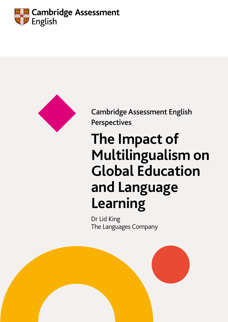



Cambridge Assessment English Perspectives

# **The Impact of Multilingualism on Global Education and Language Learning**

Dr Lid King The Languages Company

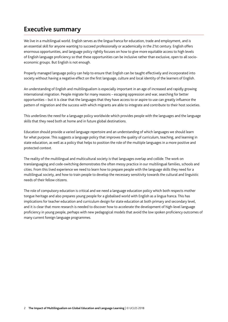# **Executive summary**

We live in a multilingual world. English serves as the lingua franca for education, trade and employment, and is an essential skill for anyone wanting to succeed professionally or academically in the 21st century. English offers enormous opportunities, and language policy rightly focuses on how to give more equitable access to high levels of English language proficiency so that these opportunities can be inclusive rather than exclusive, open to all socioeconomic groups. But English is not enough.

Properly managed language policy can help to ensure that English can be taught effectively and incorporated into society without having a negative effect on the first language, culture and local identity of the learners of English.

An understanding of English and multilingualism is especially important in an age of increased and rapidly growing international migration. People migrate for many reasons – escaping oppression and war, searching for better opportunities – but it is clear that the languages that they have access to or aspire to use can greatly influence the pattern of migration and the success with which migrants are able to integrate and contribute to their host societies.

This underlines the need for a language policy worldwide which provides people with the languages and the language skills that they need both at home and in future global destinations.

Education should provide a varied language repertoire and an understanding of which languages we should learn for what purpose. This suggests a language policy that improves the quality of curriculum, teaching, and learning in state education, as well as a policy that helps to position the role of the multiple languages in a more positive and protected context.

The reality of the multilingual and multicultural society is that languages overlap and collide. The work on translanguaging and code-switching demonstrates the often messy practice in our multilingual families, schools and cities. From this lived experience we need to learn how to prepare people with the language skills they need for a multilingual society, and how to train people to develop the necessary sensitivity towards the cultural and linguistic needs of their fellow citizens.

The role of compulsory education is critical and we need a language education policy which both respects mother tongue heritage and also prepares young people for a globalised world with English as a lingua franca. This has implications for teacher education and curriculum design for state education at both primary and secondary level, and it is clear that more research is needed to discover how to accelerate the development of high-level language proficiency in young people, perhaps with new pedagogical models that avoid the low spoken proficiency outcomes of many current foreign language programmes.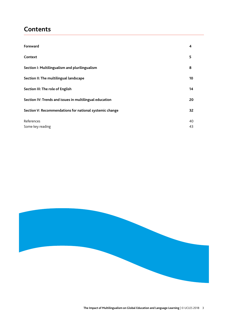# **Contents**

| Foreward                                                | 4  |
|---------------------------------------------------------|----|
| Context                                                 | 5  |
| Section I: Multilingualism and plurilingualism          | 8  |
| Section II: The multilingual landscape                  | 10 |
| Section III: The role of English                        | 14 |
| Section IV: Trends and issues in multilingual education | 20 |
| Section V: Recommendations for national systemic change | 32 |
| References                                              | 40 |
| Some key reading                                        | 43 |

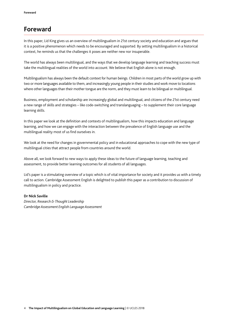# **Foreward**

In this paper, Lid King gives us an overview of multilingualism in 21st century society and education and argues that it is a positive phenomenon which needs to be encouraged and supported. By setting multilingualism in a historical context, he reminds us that the challenges it poses are neither new nor insuperable.

The world has always been multilingual, and the ways that we develop language learning and teaching success must take the multilingual realities of the world into account. We believe that English alone is not enough.

Multilingualism has always been the default context for human beings. Children in most parts of the world grow up with two or more languages available to them, and increasingly young people in their studies and work move to locations where other languages than their mother tongue are the norm, and they must learn to be bilingual or multilingual.

Business, employment and scholarship are increasingly global and multilingual, and citizens of the 21st century need a new range of skills and strategies – like code-switching and translanguaging – to supplement their core language learning skills.

In this paper we look at the definition and contexts of multilingualism, how this impacts education and language learning, and how we can engage with the interaction between the prevalence of English language use and the multilingual reality most of us find ourselves in.

We look at the need for changes in governmental policy and in educational approaches to cope with the new type of multilingual cities that attract people from countries around the world.

Above all, we look forward to new ways to apply these ideas to the future of language learning, teaching and assessment, to provide better learning outcomes for all students of all languages.

Lid's paper is a stimulating overview of a topic which is of vital importance for society and it provides us with a timely call to action. Cambridge Assessment English is delighted to publish this paper as a contribution to discussion of multilingualism in policy and practice.

### **Dr Nick Saville**

*Director, Research & Thought Leadership Cambridge Assessment English Language Assessment*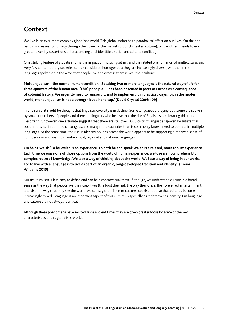# **Context**

We live in an ever more complex globalised world. This globalisation has a paradoxical effect on our lives. On the one hand it increases conformity through the power of the market (products, tastes, culture); on the other it leads to ever greater diversity (assertions of local and regional identities, social and cultural conflicts).

One striking feature of globalisation is the impact of multilingualism, and the related phenomenon of multiculturalism. Very few contemporary societies can be considered homogenous; they are increasingly diverse, whether in the languages spoken or in the ways that people live and express themselves (their cultures).

### **Multilingualism – the normal human condition. 'Speaking two or more languages is the natural way of life for three-quarters of the human race. [This] principle … has been obscured in parts of Europe as a consequence of colonial history. We urgently need to reassert it, and to implement it in practical ways, for, in the modern world, monolingualism is not a strength but a handicap.' (David Crystal 2006:409)**

In one sense, it might be thought that linguistic diversity is in decline. Some languages are dying out, some are spoken by smaller numbers of people, and there are linguists who believe that the rise of English is accelerating this trend. Despite this, however, one estimate suggests that there are still over 7,000 distinct languages spoken by substantial populations as first or mother tongues, and many more countries than is commonly known need to operate in multiple languages. At the same time, the rise in identity politics across the world appears to be supporting a renewed sense of confidence in and wish to maintain local, regional and national languages.

### **On being Welsh 'To be Welsh is an experience. To both be and speak Welsh is a related, more robust experience. Each time we erase one of those options from the world of human experience, we lose an incomprehensibly complex realm of knowledge. We lose a way of thinking about the world. We lose a way of being in our world. For to live with a language is to live as part of an organic, long-developed tradition and identity.' (Conor Williams 2015)**

Multiculturalism is less easy to define and can be a controversial term. If, though, we understand culture in a broad sense as the way that people live their daily lives (the food they eat, the way they dress, their preferred entertainment) and also the way that they see the world, we can say that different cultures coexist but also that cultures become increasingly mixed. Language is an important aspect of this culture – especially as it determines identity. But language and culture are not always identical.

Although these phenomena have existed since ancient times they are given greater focus by some of the key characteristics of this globalised world.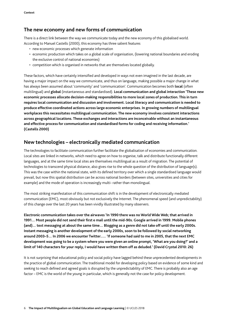### **The new economy and new forms of communication**

There is a direct link between the way we communicate today and the new economy of this globalised world. According to Manuel Castells (2000), this economy has three salient features

- new economic processes which generate information
- economic production which takes on a global scale of organisation, (lowering national boundaries and eroding the exclusive control of national economies)
- competition which is organised in networks that are themselves located globally.

These factors, which have certainly intensified and developed in ways not even imagined in the last decade, are having a major impact on the way we communicate, and thus on language, making possible a major change in what has always been assumed about 'community' and 'communication'. Communication becomes both **local** (often multilingual) and **global** (instantaneous and standardised). **Local communication and global interaction 'These new economic processes allocate decision-making responsibilities to more local zones of production. This in turn requires local communication and discussion and involvement. Local literacy and communication is needed to produce effective coordinated actions across large economic enterprises. In growing numbers of multilingual workplaces this necessitates multilingual communication. The new economy involves consistent interactions across geographical locations. These exchanges and interactions are inconceivable without an instantaneous and effective process for communication and standardised forms for coding and receiving information.' (Castells 2000)** 

### **New technologies – electronically mediated communication**

The technologies to facilitate communication further facilitate the globalisation of economies and communication. Local sites are linked in networks, which need to agree on how to organise, talk and distribute functionally different languages, and at the same time local sites are themselves multilingual as a result of migration. The potential of technologies to transcend physical distance, also gives rise to the whole question of the distribution of language(s). This was the case within the national state, with its defined territory over which a single standardised language would prevail, but now this spatial distribution can be across national borders (between sites, universities and cities for example) and the mode of operation is increasingly multi- rather than monolingual.

The most striking manifestation of this communication shift is in the development of electronically mediated communication (EMC), most obviously but not exclusively the Internet. The phenomenal speed (and unpredictability) of this change over the last 20 years has been vividly illustrated by many observers.

**Electronic communication takes over the airwaves 'In 1990 there was no World Wide Web; that arrived in 1991… Most people did not send their first e mail until the mid-90s. Google arrived in 1999. Mobile phones (and)… text messaging at about the same time… Blogging as a genre did not take off until the early 2000s. Instant messaging is another development of the early 2000s, soon to be followed by social networking around 2003–5… In 2006 we encounter Twitter..… 'If someone had said to me in 2005, that the next EMC development was going to be a system where you were given an online prompt, 'What are you doing?' and a limit of 140 characters for your reply, I would have written them off as deluded.' (David Crystal 2010: 26)** 

It is not surprising that educational policy and social policy have lagged behind these unprecedented developments in the practice of global communication. The traditional model for developing policy based on evidence of some kind and seeking to reach defined and agreed goals is disrupted by the unpredictability of EMC. There is probably also an age factor – EMC is the world of the young in particular, which is generally not the case for policy development.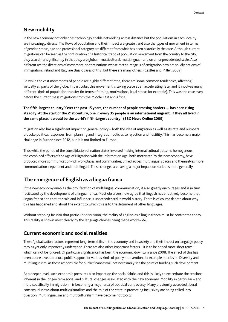## **New mobility**

In the new economy not only does technology enable networking across distance but the populations in each locality are increasingly diverse. The flows of population and their impact are greater, and also the types of movement in terms of gender, status, age and professional category are different from what has been historically the case. Although current migrations can be seen as the continuation of a historical trend of population movement from the country to the city, they also differ significantly in that they are global – multicultural, multilingual – and on an unprecedented scale. Also different are the directions of movement, so that nations whose recent image is of emigration now are solidly nations of immigration. Ireland and Italy are classic cases of this, but there are many others. (Castles and Miller, 2009)

So while the vast movements of people are highly differentiated, there are some common tendencies, affecting virtually all parts of the globe. In particular, this movement is taking place at an accelerating rate, and it involves many different kinds of population transfer (in terms of timing, motivations, legal status for example). This was the case even before the current mass migrations from the Middle East and Africa.

### **The fifth-largest country 'Over the past 15 years, the number of people crossing borders … has been rising steadily. At the start of the 21st century, one in every 35 people is an international migrant. If they all lived in the same place, it would be the world's fifth-largest country.' (BBC News Online 2009)**

Migration also has a significant impact on general policy – both the idea of migration as well as its rate and numbers provoke political responses, from planning and integration policies to rejection and hostility. This has become a major challenge in Europe since 2012, but it is not limited to Europe.

Thus while the period of the consolidation of nation states involved making internal cultural patterns homogenous, the combined effects of the Age of Migration with the Information Age, both motivated by the new economy, have produced more communication-rich workplaces and communities, linked across multilingual spaces and themselves more communication-dependent and multilingual. These changes are having a major impact on societies more generally.

# **The emergence of English as a lingua franca**

If the new economy enables the proliferation of multilingual communication, it also greatly encourages and is in turn facilitated by the development of a lingua franca. Most observers now agree that English has effectively become that lingua franca and that its scale and influence is unprecedented in world history. There is of course debate about why this has happened and about the extent to which this is to the detriment of other languages.

Without stepping far into that particular discussion, the reality of English as a lingua franca must be confronted today. This reality is shown most clearly by the language choices being made worldwide.

### **Current economic and social realities**

These 'globalisation factors' represent long-term shifts in the economy and in society and their impact on language policy may as yet only imperfectly understood. There are also other important factors – it is to be hoped more short term – which cannot be ignored. Of particular significance has been the economic downturn since 2008. The effect of this has been at one level to reduce public support for various kinds of policy intervention, for example policies on Diversity and Multilingualism, as those responsible for public finances will not necessarily see the point of funding such development.

At a deeper level, such economic pressures also impact on the social fabric, and this is likely to exacerbate the tensions inherent in the longer-term social and cultural changes associated with the new economy. Mobility in particular – and more specifically immigration – is becoming a major area of political controversy. Many previously accepted liberal consensual views about multiculturalism and the role of the state in promoting inclusivity are being called into question. Multilingualism and multiculturalism have become hot topics.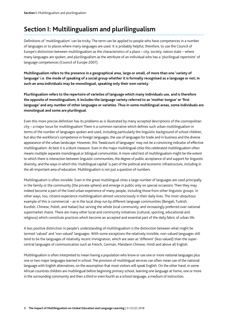# **Section I: Multilingualism and plurilingualism**

Definitions of 'multilingualism' can be tricky. The term can be applied to people who have competences in a number of languages or to places where many languages are used. It is probably helpful, therefore, to use the Council of Europe's distinction between multilingualism as the characteristics of a place – city, society, nation state – where many languages are spoken, and plurilingualism as the attribute of an individual who has a 'plurilingual repertoire' of language competences (Council of Europe 2007).

**Multilingualism refers to the presence in a geographical area, large or small, of more than one 'variety of language' i.e. the mode of speaking of a social group whether it is formally recognised as a language or not; in such an area individuals may be monolingual, speaking only their own variety.** 

**Plurilingualism refers to the repertoire of varieties of language which many individuals use, and is therefore the opposite of monolingualism; it includes the language variety referred to as 'mother tongue' or 'first language' and any number of other languages or varieties. Thus in some multilingual areas, some individuals are monolingual and some are plurilingual.** 

Even this more precise definition has its problems as is illustrated by many accepted descriptions of the cosmopolitan city – a major locus for multilingualism There is a common narrative which defines such urban multilingualism in terms of the number of languages spoken and used, including particularly the linguistic background of school children, but also the workforce's competence in foreign languages, the use of languages for trade and in business and the diverse appearance of the urban landscape. However, this 'headcount of languages' may not be a convincing indicator of effective multilingualism. At best it is a blunt measure. Even in the major multilingual cities this celebrated multilingualism often means multiple separate monolingual or bilingual communities. A more valid test of multilingualism might be the extent to which there is interaction between linguistic communities, the degree of public acceptance of and support for linguistic diversity, and the ways in which this 'multilingual capital' is part of the political and economic infrastructure, including in the all-important area of education. Multilingualism is not just a question of numbers.

Multilingualism is often invisible. Even in the great multilingual cities a large number of languages are used principally in the family or the community (the private sphere) and emerge in public only on special occasions. Then they may indeed become a part of the lived urban experience of many people, including those from other linguistic groups. In other ways, too, citizens experience multilingualism almost unconsciously in their daily lives. The most ubiquitous example of this is commercial – as in the local shop run by different language communities (Bengali, Turkish, Kurdish, Chinese, Polish, and Italian) but serving the whole local community, and increasingly preferred over national supermarket chains. There are many other local and community initiatives (cultural, sporting, educational and religious) which constitute practices which become an accepted and essential part of the daily fabric of urban life.

A less positive distinction in people's understanding of multilingualism is the distinction between what might be termed 'valued' and 'non valued' languages. With some exceptions the relatively invisible, non-valued languages still tend to be the languages of relatively recent immigration, which are seen as 'different' (less valued) than the supercentral languages of communication such as French, German, Mandarin Chinese, Hindi and above all English.

Multilingualism is often interpreted to mean having a population who know or use one or more national languages plus one or two major languages learned in school. The provision of multilingual services can often mean use of the national language with English alternatives, on the assumption that most visitors will speak English. On the other hand, in some African countries children are multilingual before beginning primary school, learning one language at home, one or more in the surrounding community and then a third or even fourth as a school language, a medium of instruction.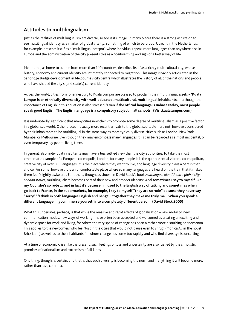# **Attitudes to multilingualism**

Just as the realities of multilingualism are diverse, so too is its image. In many places there is a strong aspiration to see multilingual identity as a marker of global vitality, something of which to be proud. Utrecht in the Netherlands, for example, presents itself as a 'multilingual hotspot', where individuals speak more languages than anywhere else in Europe and the administration of the city presents this as a positive thing and sign of a better way of life.

Melbourne, as home to people from more than 140 countries, describes itself as a richly multicultural city, whose history, economy and current identity are intimately connected to migration. This image is vividly articulated in the Sandridge Bridge development in Melbourne's city centre which illustrates the history of all of the nations and people who have shaped the city's (and state's) current identity.

Across the world, cities from Johannesburg to Kuala Lumpur are pleased to proclaim their multilingual assets – **'Kuala Lumpur is an ethnically diverse city with well-educated, multicultural, multilingual inhabitants.'** – although the importance of English in this equation is also stressed: **'Even if the official language is Bahasa Malay, most people speak good English. The English language is a compulsory subject in all schools.' (Visitkualalumpur.com)**

It is undoubtedly significant that many cities now claim to promote some degree of multilingualism as a positive factor in a globalised world. Other places – usually more recent arrivals to the globalised table – are not, however, considered by their inhabitants to be multilingual in the same way as more typically diverse cities such as London, New York, Mumbai or Melbourne. Even though they may encompass many languages, this can be regarded as almost incidental, or even temporary, by people living there.

In general, also, individual inhabitants may have a less settled view than the city authorities. To take the most emblematic example of a European cosmopolis, London, for many people it is the quintessential vibrant, cosmopolitan, creative city of over 200 languages. It is the place where they want to live, and language diversity plays a part in that choice. For some, however, it is an uncomfortable place where so many languages are heard on the train that it makes them feel 'slightly awkward'. For others, though, as shown in David Block's book *Multilingual identities in a global city: London stories,* multilingualism becomes part of their new and broader identity: **'And sometimes I say to myself, Oh my God, she's so rude … and in fact it's because I'm used to the English way of talking and sometimes when I go back to France, in the supermarkets, for example, I say to myself "they are so rude" because they never say "sorry".' 'I think in both languages English and Bengali, together they make me truly me.' 'When you speak a different language … you immerse yourself into a completely different person.' (David Block 2005)**

What this underlines, perhaps, is that while the massive and rapid effects of globalisation – new mobility, new communication modes, new ways of working – have often been accepted and welcomed as creating an exciting and dynamic space for work and living, for others the very speed of change has been a rather more disturbing phenomenon. This applies to the newcomers who feel 'lost in the cities that would not pause even to shrug' (Monica Ali in the novel Brick Lane) as well as to the inhabitants for whom change has come too rapidly and who find diversity disconcerting.

At a time of economic crisis like the present, such feelings of loss and uncertainty are also fuelled by the simplistic promises of nationalism and extremism of all kinds.

One thing, though, is certain, and that is that such diversity is becoming the norm and if anything it will become more, rather than less, complex.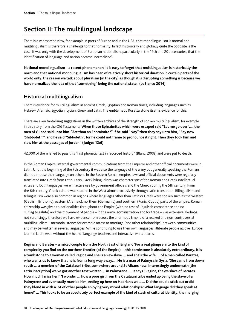# **Section II: The multilingual landscape**

There is a widespread view, for example in parts of Europe and in the USA, that monolingualism is normal and multilingualism is therefore a challenge to that normality. In fact historically and globally quite the opposite is the case. It was only with the development of European nationalism, particularly in the 19th and 20th centuries, that the identification of language and nation became 'normalised'.

**National monolingualism – a recent phenomenon 'It is easy to forget that multilingualism is historically the norm and that national monolingualism has been of relatively short historical duration in certain parts of the world only: the reason we talk about pluralism (in the city) as though it is disrupting something is because we have normalized the idea of that "something" being the national state.' (LoBianco 2014)** 

# **Historical multilingualism**

There is evidence for multilingualism in ancient Greek, Egyptian and Roman times, including languages such as Hebrew, Aramaic, Egyptian, Lycian, Greek and Latin. The emblematic Rosetta stone itself is evidence for this.

There are even tantalizing suggestions in the written archives of the strength of spoken multilingualism, for example in this story from the Old Testament: **'When those Ephraimites which were escaped said "Let me go over",… the men of Gilead said unto him. "Art thou an Ephraimite?" If he said "Nay" then they say unto him, "Say now 'Shibboleth'": and he said "Sibboleth": for he could not frame to pronounce it right. Then they took him and slew him at the passages of Jordan.' (Judges 12:6)**

42,000 of them failed to pass this "first phonetic test in recorded history" (Blanc, 2008) and were put to death.

In the Roman Empire, internal governmental communications from the Emperor and other official documents were in Latin. Until the beginning of the 7th century it was also the language of the army but generally speaking the Romans did not impose their language on others. In the Eastern Roman empire, laws and official documents were regularly translated into Greek from Latin. Latin–Greek bilingualism was characteristic of the Roman and Greek intellectual elites and both languages were in active use by government officials and the Church during the 5th century. From the 6th century, Greek culture was studied in the West almost exclusively through Latin translation. Bilingualism and trilingualism were also common in regions where languages other than Latin or Greek were spoken such as the western (Gaulish, Brithonic), eastern (Aramaic), northern (Germanic) and southern (Punic, Coptic) parts of the empire. Roman citizenship was given to nationalities throughout the Empire (with no test of linguistic competence and no 10 flag to salute) and the movement of people – in the army, administration and for trade – was extensive. Perhaps not surprisingly therefore we have evidence from across the enormous Empire of a relaxed and non-controversial multilingualism – memorial stones for example attest to marriage (and other relationships) between communities and may be written in several languages. While continuing to use their own languages, illiterate people all over Europe learned Latin, even without the help of language teachers and interactive whiteboards.

**Regina and Barates – a mixed couple from the North East of England 'For a real glimpse into the kind of complexity you find on the northern frontier (of the Empire) ... this tombstone is absolutely extraordinary. It is a tombstone to a woman called Regina and she is an ex-slave … and she's the wife … of a man called Barates, who wants us to know that he is from a long way away.… He is a man of Palmyra.in Syria. 'She came from down south … a member of the Catalauni tribe, somewhere around St Albans now. Interestingly underneath [the Latin inscription] we've got another text written ... in Palmyrene.… It says "Regina, the ex-slave of Barates. How much I miss her!" 'I wonder … how a poor girl from the Catalauni tribe ended up being the slave of a Palmyrene and eventually married him, ending up here on Hadrian's wall.… Did the couple stick out or did they blend in with a lot of other people enjoying very mixed relationships? What language did they speak at home? … This looks to be an absolutely perfect example of the kind of clash of cultural identity, the merging**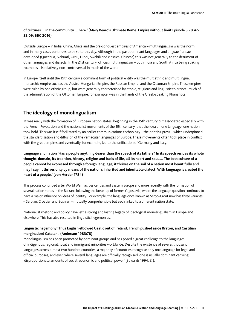### **of cultures ... in the community ... here.' (Mary Beard's Ultimate Rome: Empire without limit Episode 3 28.47- 32.09; BBC 2016)**

Outside Europe – in India, China, Africa and the pre-conquest empires of America – multilingualism was the norm and in many cases continues to be so to this day. Although in the past dominant languages and linguae francae developed (Quechua, Nahuatl, Urdu, Hindi, Swahili and classical Chinese) this was not generally to the detriment of other languages and dialects. In the 21st century, official multilingualism – both India and South Africa being striking examples – is relatively non-controversial in much of the world.

In Europe itself until the 19th century a dominant form of political entity was the multiethnic and multilingual monarchic empire such as the Austro-Hungarian Empire, the Russian Empire, and the Ottoman Empire. These empires were ruled by one ethnic group, but were generally characterised by ethnic, religious and linguistic tolerance. Much of the administration of the Ottoman Empire, for example, was in the hands of the Greek-speaking Phanariots.

### **The ideology of monolingualism**

 It was really with the formation of European nation states, beginning in the 15th century but associated especially with the French Revolution and the nationalist movements of the 19th century, that the idea of 'one language, one nation' took hold. This was itself facilitated by an earlier communications technology – the printing press – which underpinned the standardisation and diffusion of the vernacular languages of Europe. These movements often took place in conflict with the great empires and eventually, for example, led to the unification of Germany and Italy.

**Language and nation 'Has a people anything dearer than the speech of its fathers? In its speech resides its whole thought-domain, its tradition, history, religion and basis of life, all its heart and soul.… The best culture of a people cannot be expressed through a foreign language; it thrives on the soil of a nation most beautifully and may I say, it thrives only by means of the nation's inherited and inheritable dialect. With language is created the heart of a people.' (von Herder 1784)** 

This process continued after World War I across central and Eastern Europe and more recently with the formation of several nation states in the Balkans following the break-up of former Yugoslavia, where the language question continues to have a major influence on ideas of identity. For example, the language once known as Serbo-Croat now has three variants – Serbian, Croatian and Bosnian – mutually comprehensible but each linked to a different nation state.

Nationalist rhetoric and policy have left a strong and lasting legacy of ideological monolingualism in Europe and elsewhere. This has also resulted in linguistic hegemonies.

#### **Linguistic hegemony 'Thus English elbowed Gaelic out of Ireland, French pushed aside Breton, and Castilian marginalised Catalan.' (Anderson 1983:78)**

Monolingualism has been promoted by dominant groups and has posed a great challenge to the languages of indigenous, regional, local and immigrant minorities worldwide. Despite the existence of several thousand languages across almost two hundred countries, a majority of countries recognise only one language for legal and official purposes, and even where several languages are officially recognised, one is usually dominant carrying 'disproportionate amounts of social, economic and political power' (Edwards 1994: 2f).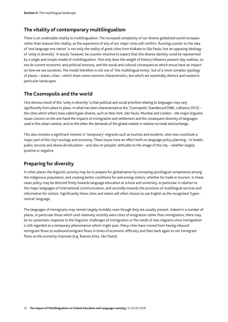# **The vitality of contemporary multilingualism**

There is an undeniable vitality to multilingualism. The increased complexity of our diverse globalised world increases rather than reduces this vitality, as the experience of any of our major cities will confirm. Running counter to the idea of 'one language one nation' is not only the reality of great cities from Kolkata to São Paulo, but an opposing ideology of 'unity in diversity'. It would, however, be counter-intuitive to expect that this diverse identity could be represented by a single and simple model of multilingualism. Not only does the weight of history influence present-day realities, so too do current economic and political tensions, and the social and cultural consequences which ensue have an impact on how we see ourselves. The model therefore is not one of 'the multilingual entity', but of a more complex typology of places – states, cities – which share some common characteristics, but which are essentially distinct and rooted in particular landscapes.

# **The Cosmopolis and the world**

One obvious result of this 'unity in diversity' is that political and social priorities relating to languages may vary significantly from place to place. In what has been characterised as the 'Cosmopolis' (Sandercock1986, LoBianco 2013) – the cities which others have called hyper-diverse, such as New York, São Paulo, Mumbai and London – the major linguistic issues concern on the one hand the impacts of immigration and settlement and the consequent diversity of languages used in the urban context, and on the other the demands of the global market in relation to trade and exchange.

This also involves a significant interest in 'temporary' migrants such as tourists and students, who now constitute a major part of the city's ecology and economy. These issues have an effect both on language policy planning – in health, public services and above all education – and also on peoples' attitudes to the image of the city – whether largely positive or negative.

# **Preparing for diversity**

In other places the linguistic priority may be to prepare for globalisation by increasing plurilingual competence among the indigenous population, and creating better conditions for welcoming visitors, whether for trade or tourism. In these cases policy may be directed firstly towards language education at school and university, in particular in relation to the major languages of international communication, and secondly towards the provision of multilingual services and information for visitors. Significantly these cities and states will often choose to use English as the recognised 'hypercentral' language.

The languages of immigrants may remain largely invisible, even though they are usually present. Indeed in a number of places, in particular those which until relatively recently were cities of emigration rather than immigration, there may be no systematic response to the linguistic challenges of immigration or the needs of new migrants since immigration is still regarded as a temporary phenomenon which might pass. Many cities have moved from having inbound immigrant flows to outbound emigrant flows in times of economic difficulty and then back again to net immigrant flows as the economy improves (e.g. Buenos Aires, São Paulo).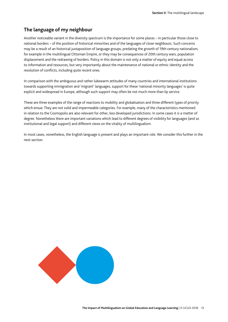### **The language of my neighbour**

Another noticeable variant in the diversity spectrum is the importance for some places – in particular those close to national borders – of the position of historical minorities and of the languages of close neighbours. Such concerns may be a result of an historical juxtaposition of language groups, predating the growth of 19th century nationalism, for example in the multilingual Ottoman Empire, or they may be consequences of 20th century wars, population displacement and the redrawing of borders. Policy in this domain is not only a matter of equity and equal access to information and resources, but very importantly about the maintenance of national or ethnic identity and the resolution of conflicts, including quite recent ones.

In comparison with the ambiguous and rather lukewarm attitudes of many countries and international institutions towards supporting immigration and 'migrant' languages, support for these 'national minority languages' is quite explicit and widespread in Europe, although such support may often be not much more than lip service.

These are three examples of the range of reactions to mobility and globalisation and three different types of priority which ensue. They are not solid and impermeable categories. For example, many of the characteristics mentioned in relation to the Cosmopolis are also relevant for other, less developed jurisdictions. In some cases it is a matter of degree. Nonetheless there are important variations which lead to different degrees of visibility for languages (and so institutional and legal support) and different views on the vitality of multilingualism.

In most cases, nonetheless, the English language is present and plays an important role. We consider this further in the next section.

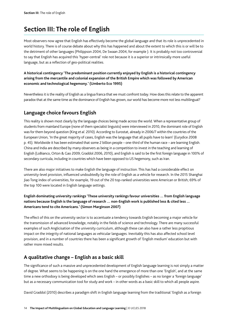# **Section III: The role of English**

Most observers now agree that English has effectively become the global language and that its role is unprecedented in world history. There is of course debate about why this has happened and about the extent to which this is or will be to the detriment of other languages (Philippson 2004, De Swaan 2004, for example ). It is probably not too controversial to say that English has acquired this 'hyper-central' role not because it is a superior or intrinsically more useful language, but as a reflection of geo-political realities.

**A historical contingency 'The predominant position currently enjoyed by English is a historical contingency arising from the mercantile and colonial expansion of the British Empire which was followed by American economic and technological hegemony.' (Umberto Eco 1995)**

Nevertheless it is the reality of English as a lingua franca that we must confront today. How does this relate to the apparent paradox that at the same time as the dominance of English has grown, our world has become more not less multilingual?

# **Language choice favours English**

This reality is shown most clearly by the language choices being made across the world. When a representative group of students from mainland Europe (none of them specialist linguists) were interviewed in 2010, the dominant role of English was for them beyond question (King *et al*. 2010). According to Eurostat, already in 2006/7 within the countries of the European Union, 'In the great majority of cases, English was the language that all pupils have to learn' (Eurydice 2008 p. 45). Worldwide it has been estimated that some 2 billion people – one-third of the human race – are learning English. China and India are described by many observers as being in a competition to invest in the teaching and learning of English (LoBianco, Orton & Gao 2009; Graddol 2006, 2010), and English is said to be the first foreign language in 100% of secondary curricula, including in countries which have been opposed to US hegemony, such as Iran.

There are also major initiatives to make English the language of instruction. This has had a considerable effect on university-level provision, influenced undoubtedly by the role of English as a vehicle for research. In the 2015 Shanghai Jiao Tong index of universities, for example, 19 out of the 20 top-ranked universities were American or British; 69% of the top 100 were located in English language settings.

### **English dominating university rankings 'These university rankings favour universities … from English language nations because English is the language of research … non-English work is published less & cited less ... Americans tend to cite Americans.' (Simon Marginson 2007)**

The effect of this on the university sector is to accentuate a tendency towards English becoming a major vehicle for the transmission of advanced knowledge, notably in the fields of science and technology. There are many successful examples of such Anglicisation of the university curriculum, although these can also have a rather less propitious impact on the integrity of national languages as vehicular languages. Inevitably this has also affected school level provision, and in a number of countries there has been a significant growth of 'English medium' education but with rather more mixed results.

# **A qualitative change – English as a basic skill**

The significance of such a massive and unprecedented development of English language learning is not simply a matter of degree. What seems to be happening is on the one hand the emergence of more than one 'English', and at the same time a new orthodoxy is being developed which sees English – or possibly Englishes – as no longer a 'foreign language' but as a necessary communication tool for study and work – in other words as a basic skill to which all people aspire.

David Graddol (2010) describes a paradigm shift in English language learning from the traditional 'English as a foreign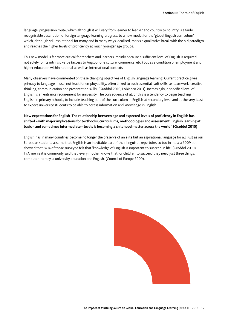language' progression route, which although it will vary from learner to learner and country to country is a fairly recognisable description of foreign language learning progress. to a new model for the 'global English curriculum' which, although still aspirational for many and in many ways idealised, marks a qualitative break with the old paradigm and reaches the higher levels of proficiency at much younger age groups:

This new model is far more critical for teachers and learners, mainly because a sufficient level of English is required not solely for its intrinsic value (access to Anglophone culture, commerce, etc.) but as a condition of employment and higher education within national as well as international contexts.

Many observers have commented on these changing objectives of English language learning. Current practice gives primacy to language in use, not least for employability, often linked to such essential 'soft skills' as teamwork, creative thinking, communication and presentation skills. (Graddol 2010, LoBianco 2011). Increasingly, a specified level of English is an entrance requirement for university. The consequence of all of this is a tendency to begin teaching in English in primary schools, to include teaching part of the curriculum in English at secondary level and at the very least to expect university students to be able to access information and knowledge in English.

### **New expectations for English 'The relationship between age and expected levels of proficiency in English has shifted – with major implications for textbooks, curriculums, methodologies and assessment. English learning at basic – and sometimes intermediate – levels is becoming a childhood matter across the world.' (Graddol 2010)**

English has in many countries become no longer the preserve of an elite but an aspirational language for all. Just as our European students assume that English is an inevitable part of their linguistic repertoire, so too in India a 2009 poll showed that 87% of those surveyed felt that 'knowledge of English is important to succeed in life' (Graddol 2010). In Armenia it is commonly said that 'every mother knows that for children to succeed they need just three things: computer literacy, a university education and English. (Council of Europe 2009).

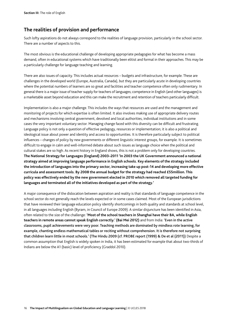# **The realities of provision and performance**

Such lofty aspirations do not always correspond to the realities of language provision, particularly in the school sector. There are a number of aspects to this.

The most obvious is the educational challenge of developing appropriate pedagogies for what has become a mass demand, often in educational systems which have traditionally been elitist and formal in their approaches. This may be a particularly challenge for language teaching and learning.

There are also issues of capacity. This includes actual resources – budgets and infrastructure, for example. These are challenges in the developed world (Europe, Australia, Canada), but they are particularly acute in developing countries where the potential numbers of learners are so great and facilities and teacher competence often only rudimentary. In general there is a major issue of teacher supply for teachers of languages; competence in English (and other languages) is a marketable asset beyond education and this can make the recruitment and retention of teachers particularly difficult.

Implementation is also a major challenge. This includes the ways that resources are used and the management and monitoring of projects for which expertise is often limited. It also involves making use of appropriate delivery routes and mechanisms involving central government, devolved and local authorities, individual institutions and in some cases the very important voluntary sector. Managing change faced with this diversity can be difficult and frustrating. Language policy is not only a question of effective pedagogy, resources or implementation; it is also a political and ideological issue about power and identity and access to opportunities. It is therefore particularly subject to political influences – changes of policy by new governments or different linguistic interest groups, for example. It is sometimes difficult to engage in calm and well-informed debate about such issues as language choice when the political and cultural stakes are so high. As recent history in England shows, this is not a problem only for developing countries. **The National Strategy for Languages (England) 2003–2011 'In 2003 the UK Government announced a national strategy aimed at improving language performance in English schools. Key elements of the strategy included the introduction of languages into the primary sector, increasing take up post-14 and developing more effective curricula and assessment tools. By 2008 the annual budget for the strategy had reached £55million. This policy was effectively ended by the new government elected in 2010 which removed all targeted funding for languages and terminated all of the initiatives developed as part of the strategy.'** 

A major consequence of the dislocation between aspiration and reality is that standards of language competence in the school sector do not generally reach the levels expected or in some cases claimed. Most of the European jurisdictions that have reviewed their language education policy identify shortcomings in both quality and standards at school level, in all languages including English (Byram, in Council of Europe 2009). A similar disjuncture has been identified in Asia, often related to the size of the challenge: **'Most of the school teachers in Shanghai have their BA, while English teachers in remote areas cannot speak English correctly.' (Bai Mei 2012)** and from India: 'Even in the active classrooms, pupil achievements were very poor. Teaching methods are dominated by mindless rote learning, for example, chanting endless mathematical tables or reciting without comprehension. It is therefore not surprising that children learn little in most schools.' (The Hindu 2009 (cf. PROBE report (1999) & De et al (2011)) Despite a common assumption that English is widely spoken in India, it has been estimated for example that about two-thirds of Indians are below the A1 (basic) level of proficiency (Graddol 2010).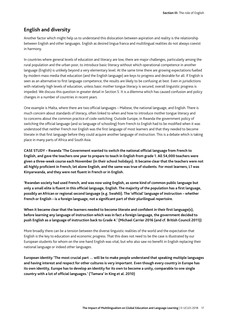### **English and diversity**

Another factor which might help us to understand this dislocation between aspiration and reality is the relationship between English and other languages. English as desired lingua franca and multilingual realities do not always coexist in harmony.

In countries where general levels of education and literacy are low, there are major challenges, particularly among the rural population and the urban poor, to introduce basic literacy without which operational competence in another language (English) is unlikely beyond a very elementary level. At the same time there are growing expectations fuelled by modern mass media that education (and the English language) are keys to progress and desirable for all. If English is seen as an alternative to first language competence, the results are likely to be confusing at best. Even in jurisdictions with relatively high levels of education, unless basic mother tongue literacy is secured, overall linguistic progress is impeded. We discuss this question in greater detail in Section 5. It is a dilemma which has caused confusion and policy changes in a number of countries in recent years.

One example is Malta, where there are two official languages – Maltese, the national language, and English. There is much concern about standards of literacy, often linked to when and how to introduce mother tongue literacy and to concerns about the common practice of code-switching. Outside Europe, in Rwanda the government policy of switching the official language (and so language of schooling) from French to English had to be modified when it was understood that neither French nor English was the first language of most learners and that they needed to become literate in that first language before they could acquire another language of instruction. This is a debate which is taking place in many parts of Africa and South Asia.

**CASE STUDY – Rwanda 'The Government wanted to switch the national official language from French to English, and gave the teachers one year to prepare to teach in English from grade 1. All 54,000 teachers were given a three-week course each November (in their school holidays). It became clear that the teachers were not all highly proficient in French, let alone English, and the same was true of students. For most learners, L1 was Kinyarwanda, and they were not fluent in French or in English.** 

**'Rwandan society had used French, and was now using English, as some kind of common public language but only a small elite is fluent in this official language, English. The majority of the population has a first language, possibly an African or regional second language (e.g. Swahili). The 'official' language of instruction – whether French or English – is a foreign language, not a significant part of their plurilingual repertoire.** 

**When it became clear that the learners needed to become literate and confident in their first language(s), before learning any language of instruction which was in fact a foreign language, the government decided to push English as a language of instruction back to Grade 4.' (Michael Carrier 2016 (and cf. British Council 2011))** 

More broadly there can be a tension between the diverse linguistic realities of the world and the expectation that English is the key to education and economic progress. That this does not need to be the case is illustrated by our European students for whom on the one hand English was vital, but who also saw no benefit in English replacing their national language or indeed other languages.

**European identity 'The most crucial part … will be to make people understand that speaking multiple languages and having interest and respect for other cultures is very important. Even though every country in Europe has its own identity, Europe has to develop an identity for its own to become a unity, comparable to one single country with a lot of official languages.' ('Tamara' in King et al. 2010)**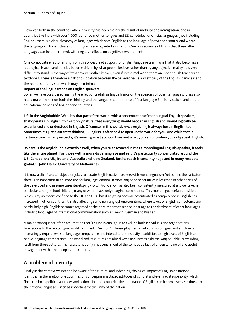However, both in the countries where diversity has been mainly the result of mobility and immigration, and in countries like India with over 1,000 identified mother tongues and 22 'scheduled' or official languages (not including English) there is a clear hierarchy of languages which sees English as the language of power and status, and where the language of 'lower' classes or immigrants are regarded as inferior. One consequence of this is that these other languages can be undermined, with negative effects on cognitive development.

One complicating factor arising from this widespread support for English language learning is that it also becomes an ideological issue – and policies become driven by what people believe rather than by any objective reality. It is very difficult to stand in the way of 'what every mother knows', even if in the real world there are not enough teachers or textbooks. There is therefore a risk of dislocation between the believed value and efficacy of the English 'panacea' and the realities of provision which may be minimal.

#### **Impact of the lingua franca on English speakers**

So far we have considered mainly the effect of English as lingua franca on the speakers of other languages. It has also had a major impact on both the thinking and the language competence of first language English speakers and on the educational policies of Anglophone countries.

**Life in the Anglobubble 'Well, it's that part of the world, with a concentration of monolingual English speakers, that operates in English, thinks it only natural that everything should happen in English and should logically be experienced and understood in English. Of course, in this worldview, everything is always best in English too. Sometimes it's just plain crazy thinking.… English is often said to open up the world for you. And while that is certainly true in many respects, it's amazing what you don't see and what you can't do when you only speak English.** 

**'Where is the Anglobubble exactly? Well, when you're ensconced in it as a monolingual English-speaker, it feels like the entire planet. For those with a more discerning eye and ear, it's particularly concentrated around the US, Canada, the UK, Ireland, Australia and New Zealand. But its reach is certainly huge and in many respects global." (John Hajek, University of Melbourne)**

It is now a cliché and a subject for jokes to equate English native speakers with monolingualism. Yet behind the caricature there is an important truth. Provision for language learning in most anglophone countries is less than in other parts of the developed and in some cases developing world. Proficiency has also been consistently measured at a lower level, in particular among school children, many of whom have only marginal competence. This monolingual default position which is by no means confined to the UK and USA, has if anything become accentuated as competence in English has increased in other countries. It is also affecting some non-anglophone countries, where levels of English competence are particularly high. English becomes regarded as the only important second language to the detriment of other languages, including languages of international communication such as French, German and Russian.

A major consequence of the assumption that 'English is enough' is to exclude both individuals and organisations from access to the multilingual world described in Section 1. The employment market is multilingual and employers increasingly require levels of language competence and intercultural sensitivity in addition to high levels of English and native language competence. The world and its cultures are also diverse and increasingly the 'Anglobubble' is excluding itself from those cultures. The result is not only impoverishment of the spirit but a lack of understanding of and useful engagement with other peoples and cultures.

# **A problem of identity**

Finally in this context we need to be aware of the cultural and indeed psychological impact of English on national identities. In the anglophone countries this underpins misplaced attitudes of cultural and even racial superiority, which find an echo in political attitudes and actions. In other countries the dominance of English can be perceived as a threat to the national language – seen as important for the unity of the nation.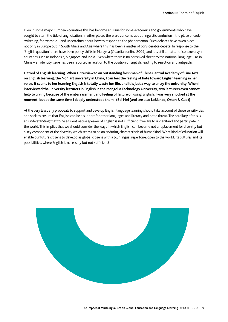Even in some major European countries this has become an issue for some academics and governments who have sought to stem the tide of anglicisation. In other places there are concerns about linguistic confusion – the place of code switching, for example – and uncertainty about how to respond to the phenomenon. Such debates have taken place not only in Europe but in South Africa and Asia where this has been a matter of considerable debate. In response to the 'English question' there have been policy shifts in Malaysia (Guardian online 2009) and it is still a matter of controversy in countries such as Indonesia, Singapore and India. Even where there is no perceived threat to the national language – as in China – an identity issue has been reported in relation to the position of English, leading to rejection and antipathy.

**Hatred of English learning 'When I interviewed an outstanding freshman of China Central Academy of Fine Arts on English learning, the No.1 art university in China, I can feel the feeling of hate toward English learning in her voice. It seems to her learning English is totally waste her life, and it is just a way to entry the university. When I interviewed the university lecturers in English in the Mongolia Technology University, two lecturers even cannot help to crying because of the embarrassment and feeling of failure on using English. I was very shocked at the moment, but at the same time I deeply understood them.' (Bai Mei (and see also LoBianco, Orton & Gao))** 

At the very least any proposals to support and develop English language learning should take account of these sensitivities and seek to ensure that English can be a support for other languages and literacy and not a threat. The corollary of this is an understanding that to be a fluent native speaker of English is not sufficient if we are to understand and participate in the world. This implies that we should consider the ways in which English can become not a replacement for diversity but a key component of the diversity which seems to be an enduring characteristic of humankind. What kind of education will enable our future citizens to develop as global citizens with a plurilingual repertoire, open to the world, its cultures and its possibilities, where English is necessary but not sufficient?

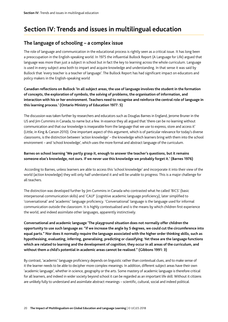# **Section IV: Trends and issues in multilingual education**

# **The language of schooling – a complex issue**

The role of language and communication in the educational process is rightly seen as a critical issue. It has long been a preoccupation in the English-speaking world. In 1975 the influential Bullock Report (A Language for Life) argued that language was more than just a subject in school but in fact the key to learning across the whole curriculum. Language is used in every subject area both to impart and acquire knowledge and understanding. In that sense it was said by Bullock that 'every teacher is a teacher of language'. The Bullock Report has had significant impact on educators and policy makers in the English-speaking world

**Canadian reflections on Bullock 'In all subject areas, the use of language involves the student in the formation of concepts, the exploration of symbols, the solving of problems, the organisation of information, and interaction with his or her environment. Teachers need to recognise and reinforce the central role of language in this learning process.' (Ontario Ministry of Education 1977: 5)** 

The discussion was taken further by researchers and educators such as Douglas Barnes in England, Jerome Bruner in the US and Jim Cummins in Canada, to name but a few. In essence they all argued that 'there can be no learning without communication and that our knowledge is inseparable from the language that we use to express, store and access it' (Little, in King & Carson 2010). One important aspect of this argument, which is of particular relevance for today's diverse classrooms, is the distinction between 'action knowledge' – the knowledge which learners bring with them into the school environment – and 'school knowledge', which uses the more formal and abstract language of the curriculum.

### **Barnes on school learning 'We partly grasp it, enough to answer the teacher's questions, but it remains someone else's knowledge, not ours. If we never use this knowledge we probably forget it.' (Barnes 1976)**

 According to Barnes, unless learners are able to access this 'school knowledge' and incorporate it into their view of the world (action knowledge) they will only half understand it and will be unable to progress. This is a major challenge for all teachers.

The distinction was developed further by Jim Cummins in Canada who contrasted what he called 'BICS' (basic interpersonal communication skills) and 'CALP' (cognitive academic language proficiency), later simplified to 'conversational' and 'academic' language proficiency. 'Conversational' language is the language used for informal communication outside the classroom. It is highly contextualised and is the means by which children first experience the world, and indeed assimilate other languages, apparently instinctively.

**Conversational and academic language 'The playground situation does not normally offer children the opportunity to use such language as: "if we increase the angle by 5 degrees, we could cut the circumference into equal parts." Nor does it normally require the language associated with the higher order thinking skills, such as hypothesising, evaluating, inferring, generalising, predicting or classifying. Yet these are the language functions which are related to learning and the development of cognition; they occur in all areas of the curriculum, and without them a child's potential in academic areas cannot be realised." (Gibbons 1991: 3)** 

By contrast, 'academic' language proficiency depends on linguistic rather than contextual clues, and to make sense of it the learner needs to be able to decipher more complex meanings. In addition, different subject areas have their own 'academic language', whether in science, geography or the arts. Some mastery of academic language is therefore critical for all learners, and indeed in wider society beyond school it can be regarded as an important life skill. Without it citizens are unlikely fully to understand and assimilate abstract meanings – scientific, cultural, social and indeed political.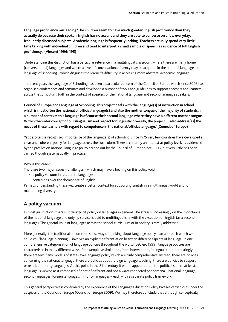**Language proficiency misleading 'The children seem to have much greater English proficiency than they actually do because their spoken English has no accent and they are able to converse on a few everyday, frequently discussed subjects. Academic language is frequently lacking. Teachers actually spend very little time talking with individual children and tend to interpret a small sample of speech as evidence of full English proficiency.' (Vincent 1996: 195)**

 Understanding this distinction has a particular relevance in a multilingual classroom, where there are many home (conversational) languages and where a level of conversational fluency may be acquired in the national language – the language of schooling – which disguises the learner's difficulty in accessing more abstract, academic language.

 In recent years the Language of Schooling has been a particular concern of the Council of Europe which since 2005 has organised conferences and seminars and developed a number of tools and guidelines to support teachers and learners across the curriculum, both in the context of speakers of the national language and second language speakers.

**Council of Europe and Language of Schooling 'This project deals with the language(s) of instruction in school which is most often the national or official language(s) and also the mother tongue of the majority of students; in a number of contexts this language is of course their second language where they have a different mother tongue. Within the wider concept of plurilingualism and respect for linguistic diversity, the project … also address[es] the needs of these learners with regard to competence in the national/official language.' (Council of Europe)** 

Yet despite the recognised importance of the language(s) of schooling, since 1975 very few countries have developed a clear and coherent policy for language across the curriculum. There is certainly an interest at policy level, as evidenced by the profiles on national language policy carried out by the Council of Europe since 2003, but very little has been carried though systematically in practice.

#### Why is this case?

There are two major issues – challenges – which may have a bearing on this policy void:

- a policy vacuum in relation to languages
- confusions over the dominance of English.

Perhaps understanding these will create a better context for supporting English in a multilingual world and for maintaining diversity.

### **A policy vacuum**

In most jurisdictions there is little explicit policy on languages in general. The stress is increasingly on the importance of the national language and only lip service is paid to multilingualism, with the exception of English (as a second language). The general issue of languages across the school curriculum or in society is rarely addressed.

More generally, the traditional or common sense way of thinking about language policy – an approach which we could call 'language planning' – involves an explicit differentiation between different aspects of language. In one comprehensive categorisation of language policies throughout the world (LeClerc 1999), language policies are characterised in many different ways (for example 'assimilation', 'non-intervention', 'bilingual') but interestingly there are few if any models of state-level language policy which are truly comprehensive. Instead, there are policies concerning the national language, there are policies about foreign language teaching, there are policies to support or restrict minority languages. At this point in the 21st century it would appear that in the political sphere at least, language is viewed as if composed of a set of different and not always connected phenomena – national language, second languages, foreign languages, minority languages – each with a separate policy framework.

This general perspective is confirmed by the experience of the Language Education Policy Profiles carried out under the auspices of the Council of Europe (Council of Europe 2009). We may therefore conclude that although conceptually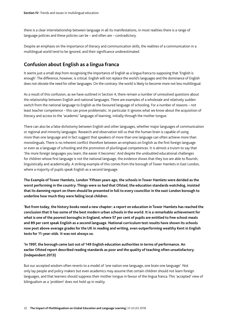there is a clear interrelationship between language in all its manifestations, in most realities there is a range of language policies and these policies can be – and often are – contradictory.

Despite an emphasis on the importance of literacy and communication skills, the realities of a communication in a multilingual world tend to be ignored, and their significance underestimated.

## **Confusion about English as a lingua franca**

It seems just a small step from recognising the importance of English as a lingua franca to supposing that 'English is enough'. The difference, however, is critical. English will not replace the world's languages and the dominance of English does not obviate the need for other languages. On the contrary: the world is likely to become more not less multilingual.

As a result of this confusion, as we have outlined in Section 4, there remain a number of unresolved questions about the relationship between English and national languages. There are examples of a wholesale and relatively sudden switch from the national language to English as the favoured language of schooling. For a number of reasons – not least teacher competence – this can prove problematic. In particular it ignores what we know about the acquisition of literacy and access to the 'academic' language of learning, initially through the mother tongue.

There can also be a false dichotomy between English and other languages, whether major languages of communication or regional and minority languages. Research and observation tell us that the human brain is capable of using more than one language and in fact suggest that speakers of more than one language can often achieve more than monolinguals. There is no inherent conflict therefore between an emphasis on English as the first foreign language or even as a language of schooling and the promotion of plurilingual competences. It is almost a truism to say that 'the more foreign languages you learn, the easier it becomes'. And despite the undoubted educational challenges for children whose first language is not the national language, the evidence shows that they too are able to flourish, linguistically and academically. A striking example of this comes from the borough of Tower Hamlets in East London, where a majority of pupils speak English as a second language.

**The Example of Tower Hamlets, London 'Fifteen years ago, the schools in Tower Hamlets were derided as the worst performing in the country. Things were so bad that Ofsted, the education standards watchdog, insisted that its damning report on them should be presented in full to every councillor in the east London borough to underline how much they were failing local children.** 

**'But from today, the history books need a new chapter: a report on education in Tower Hamlets has reached the conclusion that it has some of the best modern urban schools in the world. It is a remarkable achievement for what is one of the poorest boroughs in England, where 57 per cent of pupils are entitled to free school meals and 89 per cent speak English as a second language. National curriculum test results have shown its schools now post above-average grades for the UK in reading and writing, even outperforming wealthy Kent in English tests for 11-year-olds. It was not always so.** 

**'In 1997, the borough came last out of 149 English education authorities in terms of performance. An earlier Ofsted report described reading standards as poor and the quality of teaching often unsatisfactory. (Independent 2013)**

But our accepted wisdom often reverts to a model of 'one nation one language, one brain one language'. Not only lay people and policy makers but even academics may assume that certain children should not learn foreign languages, and that learners should suppress their mother tongue in favour of the lingua franca. This 'accepted' view of bilingualism as a 'problem' does not hold up in reality.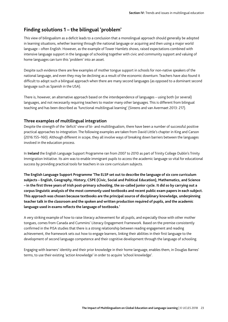# **Finding solutions 1 – the bilingual 'problem'**

This view of bilingualism as a deficit leads to a conclusion that a monolingual approach should generally be adopted in learning situations, whether learning through the national language or acquiring and then using a major world language – often English. However, as the example of Tower Hamlets shows, raised expectations combined with intensive language support in the language of schooling together with civic and community support and valuing of home languages can turn this 'problem' into an asset.

Despite such evidence there are few examples of mother tongue support in schools for non-native speakers of the national language, and even they may be declining as a result of the economic downturn. Teachers have also found it difficult to adopt such a bilingual approach when there are many second languages (as opposed to a dominant second language such as Spanish in the USA).

There is, however, an alternative approach based on the interdependence of languages – using both (or several) languages, and not necessarily requiring teachers to master many other languages. This is different from bilingual teaching and has been described as 'functional multilingual learning' (Sireens and van Avermaet 2013: 217).

### **Three examples of multilingual integration**

Despite the strength of the 'deficit' view of bi- and multilingualism, there have been a number of successful positive practical approaches to integration. The following examples are taken from David Little's chapter in King and Carson (2016:155–160). Although different in scope, they all involve ways of breaking down barriers between the languages involved in the education process.

In **Ireland** the English Language Support Programme ran from 2007 to 2010 as part of Trinity College Dublin's Trinity Immigration Initiative. Its aim was to enable immigrant pupils to access the academic language so vital for educational success by providing practical tools for teachers in six core curriculum subjects.

**The English Language Support Programme 'The ELSP set out to describe the language of six core curriculum subjects – English, Geography, History, CSPE (Civic, Social and Political Education), Mathematics, and Science – in the first three years of Irish post-primary schooling, the so-called junior cycle. It did so by carrying out a corpus linguistic analysis of the most commonly used textbooks and recent public exam papers in each subject. This approach was chosen because textbooks are the principal source of disciplinary knowledge, underpinning teacher talk in the classroom and the spoken and written production required of pupils, and the academic language used in exams reflects the language of textbooks.'** 

A very striking example of how to raise literacy achievement for all pupils, and especially those with other mother tongues, comes from Canada and Cummins' Literacy Engagement Framework. Based on the premise consistently confirmed in the PISA studies that there is a strong relationship between reading engagement and reading achievement, the framework sets out how to engage learners, linking their abilities in their first language to the development of second language competence and their cognitive development through the language of schooling.

Engaging with learners' identity and their prior knowledge in their home language, enables them, in Douglas Barnes' terms, to use their existing 'action knowledge' in order to acquire 'school knowledge'.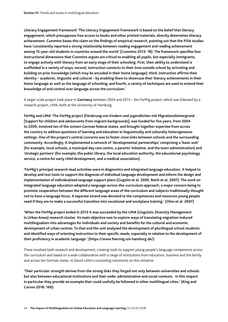**Literacy Engagement Framework 'The Literacy Engagement Framework is based on the belief that literacy engagement, which presupposes free access to books and other printed materials, directly determines literacy achievement. Cummins bases this claim on the findings of empirical research, pointing out that the PISA studies have 'consistently reported a strong relationship between reading engagement and reading achievement among 15-year-old students in countries around the world' (Cummins 2013: 18). The framework specifies four instructional dimensions that Cummins argues are critical to enabling all pupils, but especially immigrants, to engage actively with literacy from an early stage of their schooling. First, their ability to understand is scaffolded in a variety of ways; second, instruction connects to their lives outside school by activating and building on prior knowledge (which may be encoded in their home language); third, instruction affirms their identity – academic, linguistic and cultural – by enabling them to showcase their literacy achievements in their home language as well as the language of schooling; and fourth, a variety of techniques are used to extend their knowledge of and control over language across the curriculum.'**

A larger-scale project took place in **Germany** between 2004 and 2013 – the FörMig project, which was followed by a research project, LiMA, both at the University of Hamburg.

**FörMig and LiMA 'The FörMig project (Förderung von Kindern und Jugendlichen mit Migrationshintergrund [Support for children and adolescents from migrant backgrounds]; was funded for five years, from 2004 to 2009, involved ten of the sixteen German federal states, and brought together expertise from across the country to address questions of learning and education in linguistically and culturally heterogeneous settings. One of the project's central concerns was to foster close links between schools and the surrounding community. Accordingly, it implemented a network of 'developmental partnerships' comprising a 'basic unit' (for example, local schools, a municipal day care centre, a parents' initiative, and the town administration) and 'strategic partners' (for example, the public library, the local education authority, the educational psychology service, a centre for early child development, and a medical association).** 

**'FörMig's principal research-lead activities were in diagnostics and integrated language education. It helped to develop and test tools to support the diagnosis of individual language development and inform the design and implementation of individualised language support plans (Gogolin et al. 2005; Reich et al. 2007). The work on integrated language education adopted a language-across-the-curriculum approach, a major concern being to promote cooperation between the different language areas of the curriculum and subjects traditionally thought not to have a language focus. A separate strand was devoted to the competences and resources young people need if they are to make a successful transition into vocational and workplace training.' (Ohm et al. 2007)** 

**'When the FörMig project ended in 2013 it was succeeded by the LiMA (Linguistic Diversity Management in Urban Areas) research cluster. Its main objective was to explore ways of translating migration-induced multilingualism into advantages for individuals and society and benefits for the cultural and economic development of urban centres. To that end the unit analysed the development of plurilingual school students and identified ways of orienting instruction to their specific needs, especially in relation to the development of their proficiency in academic language.' (https://www.foermig.uni-hamburg.de/)** 

These involved both research and development, creating tools to support young people's language competence across the curriculum and based on a wide collaboration with a range of institutions from education, business and the family and across ten German states. In David Little's concluding comments on this initiative:

**'Their particular strength derives from the strong links they forged not only between universities and schools but also between educational institutions and their wider administrative and social contexts . In this respect in particular they provide an example that could usefully be followed in other multilingual cities.' (King and Carson 2016: 160)**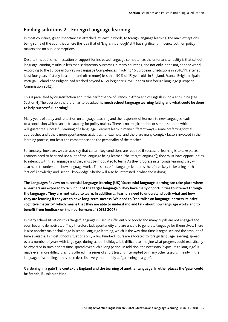### **Finding solutions 2 – Foreign Language learning**

In most countries, great importance is attached, at least in words, to foreign language learning, the main exceptions being some of the countries where the idea that of 'English is enough' still has significant influence both on policy makers and on public perceptions.

Despite this public manifestation of support for increased language competence, the unfortunate reality is that school language learning results in less than satisfactory outcomes in many countries, and not only in the anglophone world. According to the European Survey on Language Competences involving 16 European jurisdictions in 2010/11, after at least four years of study in school (and often more) less than 50% of 15-year-olds in England, France, Belgium, Spain, Portugal, Poland and Bulgaria had reached beyond A1, or beginner's level in their first foreign language (European Commission 2012).

This is paralleled by dissatisfaction about the performance of French in Africa and of English in India and China (see Section 4).The question therefore has to be asked: **Is much school language learning failing and what could be done to help successful learning?** 

Many years of study and reflection on language teaching and the responses of learners to new languages leads to a conclusion which can be frustrating for policy makers. There is no 'magic potion' or simple solution which will guarantee successful learning of a language. Learners learn in many different ways – some preferring formal approaches and others more spontaneous activities, for example, and there are many complex factors involved in the learning process, not least the competence and the personality of the teacher.

Fortunately, however, we can also say that certain key conditions are required if successful learning is to take place. Learners need to hear and use a lot of the language being learned (the 'target language'); they must have opportunities to interact with that language and they must be motivated to learn. As they progress in language learning they will also need to understand how language works. The successful language learner is therefore likely to be using both 'action' knowledge and 'school' knowledge. She/he will also be interested in what she is doing!

**The Languages Review on successful language learning (UK) 'Successful language learning can take place when: a Learners are exposed to rich input of the target language b They have many opportunities to interact through the language c They are motivated to learn. In addition … learners need to understand both what and how they are learning if they are to have long-term success. We need to "capitalise on language learners' relative cognitive maturity" which means that they are able to understand and talk about how language works and to benefit from feedback on their performance.' (DfES 2007)** 

In many school situations this 'target' language is used insufficiently or poorly and many pupils are not engaged and soon become demotivated. They therefore lack spontaneity and are unable to generate language for themselves. There is also another major challenge in school language learning, which is the way that time is organised and the amount of time available. In most school situations only a few hundred hours are allocated to foreign language learning, spread over a number of years with large gaps during school holidays. It is difficult to imagine what progress could realistically be expected in such a short time, spread over such a long period. In addition, the necessary 'exposure to language' is made even more difficult, as it is offered in a series of short lessons interrupted by many other lessons, mainly in the language of schooling. It has been described very memorably as 'gardening in a gale'.

### **Gardening in a gale The context is England and the learning of another language. In other places the 'gale' could be French, Russian or Hindi.**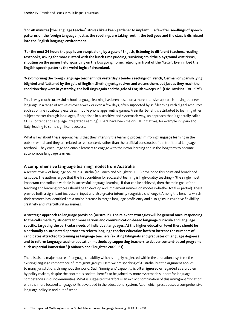**'For 40 minutes [the language teacher] strives like a keen gardener to implant … a few frail seedlings of speech patterns on the foreign language. Just as the seedlings are taking root … the bell goes and the class is dismissed into the English language environment.** 

**'For the next 24 hours the pupils are swept along by a gale of English, listening to different teachers, reading textbooks, asking for more custard with the lunch time pudding, surviving amid the playground witticisms , shouting on the games field, gossiping on the bus going home, relaxing in front of the "telly". Even in bed the English speech patterns the weird logic of dreamland.** 

**'Next morning the foreign language teacher finds yesterday's tender seedlings of French, German or Spanish lying blighted and flattened by the gale of English. She(he) gently revives and waters them, but just as they reach the condition they were in yesterday, the bell rings again and the gale of English sweeps in.'. (Eric Hawkins 1981: 97f.)**

This is why much successful school language learning has been based on a more intensive approach – using the new language in a range of activities over a week or even a few days, often supported by self-learning with digital resources such as online vocabulary exercises, mobile phone apps, online games. A similar benefit is attributed to learning other subject matter through languages, if organised in a sensitive and systematic way, an approach that is generally called CLIL (Content and Language Integrated Learning). There have been major CLIL initiatives, for example in Spain and Italy, leading to some significant success.

What is key about these approaches is that they intensify the learning process, mirroring language learning in the outside world, and they are related to real content, rather than the artificial constructs of the traditional language textbook. They encourage and enable learners to engage with their own learning and in the long term to become autonomous language learners.

### **A comprehensive language learning model from Australia**

A recent review of language policy in Australia (LoBianco and Slaughter 2009) developed this point and broadened its scope. The authors argue that the first condition for successful learning is high-quality teaching – 'the single most important controllable variable in successful language learning'. If that can be achieved, then the main goal of the teaching and learning process should be to develop and implement immersion modes (whether total or partial). These provide both a significant increase in input and also greater intensity (cognitive challenge). Among the benefits which their research has identified are a major increase in target-language proficiency and also gains in cognitive flexibility, creativity and intercultural awareness.

**A strategic approach to language provision (Australia) 'The relevant strategies will be general ones, responding to the calls made by students for more serious and communication-based language curricula and language specific, targeting the particular needs of individual languages. At the higher education level there should be a nationally co-ordinated approach to reform language teacher education both to increase the numbers of candidates attracted to training as language teachers (existing bilinguals and graduates of language degrees) and to reform language teacher education methods by supporting teachers to deliver content-based programs such as partial immersion.' (LoBianco and Slaughter 2009: 61)**

There is also a major source of language capability which is largely neglected within the educational system: the existing language competence of immigrant groups. Here we are speaking of Australia, but the argument applies to many jurisdictions throughout the world. Such 'immigrant' capability **is often ignored or** regarded as a problem by policy makers, despite the enormous societal benefit to be gained by more systematic support for language competencies in our communities. What is suggested therefore is an explicit combination of this immigrant 'donation' with the more focused language skills developed in the educational system. All of which presupposes a comprehensive language policy in and out of school.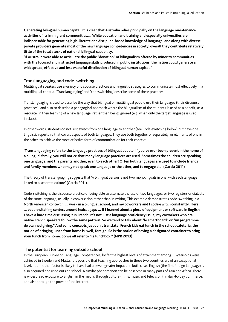**Generating bilingual human capital 'It is clear that Australia relies principally on the language maintenance activities of its immigrant communities.… While education and training and especially universities are indispensable for generating high-literate and discipline-based knowledge of language, and along with diverse private providers generate most of the new language competencies in society, overall they contribute relatively little of the total stocks of national bilingual capability.** 

**'If Australia were able to articulate the public "donation" of bilingualism offered by minority communities with the focused and instructed language skills produced in public institutions, the nation could generate a widespread, effective and less wasteful distribution of bilingual human capital."**

#### **Translanguaging and code-switching**

Multilingual speakers use a variety of discourse practices and linguistic strategies to communicate most effectively in a multilingual context. 'Translanguaging' and 'codeswitching' describe some of these practices.

Translanguaging is used to describe the way that bilingual or multilingual people use their languages (their discourse practices), and also to describe a pedagogical approach where the bilingualism of the students is used as a benefit, as a resource, in their learning of a new language, rather than being ignored (e.g. when only the target language is used in class).

In other words, students do not just switch from one language to another (see Code-switching below) but have one linguistic repertoire that covers aspects of both languages. They use both together or separately, or elements of one in the other, to achieve the most effective form of communication for their context.

**'Translanguaging refers to the language practices of bilingual people. If you've ever been present in the home of a bilingual family, you will notice that many language practices are used. Sometimes the children are speaking one language, and the parents another, even to each other! Often both languages are used to include friends and family members who may not speak one language or the other, and to engage all.' (Garcia 2011)**

The theory of translanguaging suggests that 'A bilingual person is not two monolinguals in one, with each language linked to a separate culture' (Garcia 2011).

Code-switching is the discourse practice of being able to alternate the use of two languages, or two registers or dialects of the same language, usually in conversation rather than in writing. This example demonstrates code-switching in a North American context: **'I ... work in a bilingual school, and my coworkers and I code-switch constantly. Here ... code-switching centers around lexical gaps … if I learned about a piece of equipment or software in English I have a hard time discussing it in French. It's not just a language proficiency issue, my coworkers who are native French speakers follow the same pattern. So we tend to talk about "le smartboard" or "un programme de planned giving." And some concepts just don't translate. French kids eat lunch in the school cafeteria; the notion of bringing lunch from home is, well, foreign. So is the notion of having a designated container to bring your lunch from home. So we all refer to "le lunchbox." (NPR 2013)**

### **The potential for learning outside school**

In the European Survey on Language Competences, by far the highest levels of attainment among 15-year-olds were achieved in Sweden and Malta. It is possible that teaching approaches in these two countries are of an exceptional level, but another factor is likely to have had an even greater impact. In both cases English (the first foreign language) is also acquired and used outside school. A similar phenomenon can be observed in many parts of Asia and Africa. There is widespread exposure to English in the media, through culture (films, music and television), in day-to-day commerce, and also through the power of the Internet.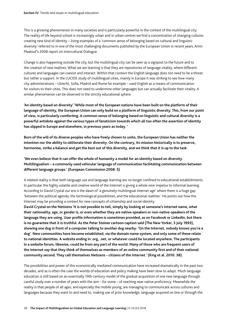This is a growing phenomenon in many societies and is particularly powerful in the context of the multilingual city. The reality of life beyond school is increasingly urban and in urban centres we find a concentration of changing cultures creating new kind of identity – living examples of a 'common sense of belonging based on cultural and linguistic diversity' referred to in one of the most challenging documents published by the European Union in recent years, Amin Maalouf's 2008 report on Intercultural Dialogue.

Change is also happening outside the city, but the multilingual city can be seen as a signpost to the future and to the creation of new realities. What we are learning is that they are repositories of language vitality, where different cultures and languages can coexist and interact. Within that context the English language does not need to be a threat but rather a support. In the LUCIDE study of multilingual cities, mainly in Europe it was striking to see how many city administrations – Utrecht, Sofia, Madrid and Rome for example – used English as a means of communication for visitors to their cities. This does not need to undermine other languages but can actually facilitate their vitality. A similar phenomenon can be observed in the strictly educational sphere.

**'An identity based on diversity' 'While most of the European nations have been built on the platform of their language of identity, the European Union can only build on a platform of linguistic diversity. This, from our point of view, is particularly comforting. A common sense of belonging based on linguistic and cultural diversity is a powerful antidote against the various types of fanaticism towards which all too often the assertion of identity has slipped in Europe and elsewhere, in previous years as today. '**

**Born of the will of its diverse peoples who have freely chosen to unite, the European Union has neither the intention nor the ability to obliterate their diversity. On the contrary, its mission historically is to preserve, harmonise, strike a balance and get the best out of this diversity, and we think that it is up to the task.** 

**'We even believe that it can offer the whole of humanity a model for an identity based on diversity. Multilingualism – a commonly used vehicular language of communication facilitating communication between different language groups.' (European Commission 2008: 5)** 

A related reality is that both language use and language learning are no longer confined to educational establishments. In particular the highly volatile and creative world of the Internet is giving a whole new impetus to informal learning. According to David Crystal our era is the dawn of 'a genuinely multilingual internet age' where there is a huge gap 'between the political agenda, the technological possibilities, and the educational realities'. He points out how the Internet may be providing a context for new concepts of citizenship and social identity.

**David Crystal on the Netizens 'It is not possible to tell, simply by looking at someone's Internet name, what their nationality, age, or gender is, or even whether they are native-speakers or non-native-speakers of the language they are using. User profile information is sometimes provided, as on Facebook or LinkedIn, but there is no guarantee that it is truthful. As the Peter Steiner cartoon caption said (The New Yorker, 5 July 1993), showing one dog in front of a computer talking to another dog nearby: 'On the Internet, nobody knows you're a dog'. New communities have become established, via the domain name system, and only some of these relate to national identities. A website ending in .org, .net, or whatever could be located anywhere. The participants in a website forum, likewise, could be from any part of the world. Many of those who are frequent users of the Internet say that they think of themselves as members of an online community first and of their national community second. They call themselves Netizens – citizens of the Internet.' (King et al. 2010: 38)** 

The possibilities and power of this economically mediated communication have increased dramatically in the past two decades, and as is often the case the worlds of education and policy making have been slow to adapt. Much language education is still based on an essentially 19th-century model of the gradual acquisition of one new language through careful study over a number of years with the aim – for some – of reaching near native proficiency. Meanwhile the reality is that people of all ages, and especially the mobile young, are managing to communicate across cultures and languages because they want to and need to, making use of prior knowledge, language acquired on line or through the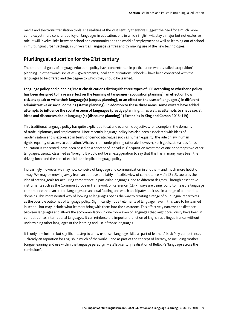media and electronic translation tools. The realities of the 21st century therefore suggest the need for a much more complex yet more coherent policy on languages in education, one in which English will play a major but not exclusive role. It will involve links between school and community and the world of employment as well as learning out of school in multilingual urban settings, in universities' language centres and by making use of the new technologies.

### **Plurilingual education for the 21st century**

The traditional goals of language education policy have concentrated in particular on what is called 'acquisition' planning. In other words societies – governments, local administrations, schools – have been concerned with the languages to be offered and the degree to which they should be learned.

**Language policy and planning 'Most classifications distinguish three types of LPP according to whether a policy has been designed to have an effect on the learning of languages (acquisition planning), an effect on how citizens speak or write their language(s) (corpus planning), or an effect on the uses of language(s) in different administrative or social domains (status planning). In addition to these three areas, some writers have added attempts to influence the social esteem of languages (prestige planning; … as well as attempts to shape social ideas and discourses about language(s) (discourse planning).' (Skrandies in King and Carson 2016: 119)** 

This traditional language policy has quite explicit political and economic objectives, for example in the domains of trade, diplomacy and employment. More recently language policy has also been associated with ideas of modernisation and is expressed in terms of democratic values such as human equality, the rule of law, human rights, equality of access to education. Whatever the underpinning rationale, however, such goals, at least as far as education is concerned, have been based on a concept of individuals' acquisition over time of one or perhaps two other languages, usually classified as 'foreign'. It would not be an exaggeration to say that this has in many ways been the driving force and the core of explicit and implicit language policy.

Increasingly, however, we may now conceive of language and communication in another – and much more holistic – way. We may be moving away from an additive and fairly inflexible view of competence = L1+L2+L3, towards the idea of setting goals for acquiring competence in particular languages, and to different degrees. Through descriptive instruments such as the Common European Framework of Reference (CEFR) ways are being found to measure language competence that can put all languages on an equal footing and which anticipates their use in a range of appropriate domains. This more neutral way of looking at languages opens the way to creating a range of plurilingual repertoires as the possible outcomes of language policy. Significantly not all elements of language have in this case to be learned in school, but may include what learners bring with them into the classroom. This effectively narrows the distance between languages and allows the accommodation in one room even of languages that might previously have been in competition as international languages. It can reinforce the important function of English as a lingua franca, without undermining other languages or the learning and use of those languages.

It is only one further, but significant, step to allow us to see language skills as part of learners' basic/key competences – already an aspiration for English in much of the world – and as part of the concept of literacy, so including mother tongue learning and use within the language paradigm – a 21st-century realisation of Bullock's 'language across the curriculum'.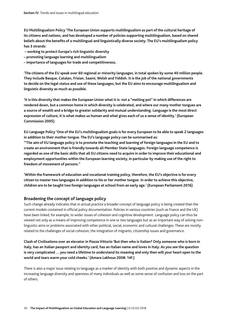**EU Multilingualism Policy 'The European Union supports multilingualism as part of the cultural heritage of its citizens and nations, and has developed a number of policies supporting multilingualism, based on shared beliefs about the benefits of a multilingual and linguistically diverse society. The EU's multilingualism policy has 3 strands:**

- **working to protect Europe's rich linguistic diversity**
- **promoting language learning and multilingualism**
- **importance of languages for trade and competitiveness.**

**'The citizens of the EU speak over 60 regional or minority languages, in total spoken by some 40 million people. They include Basque, Catalan, Frisian, Saami, Welsh and Yiddish. It is the job of the national governments to decide on the legal status and use of these languages, but the EU aims to encourage multilingualism and linguistic diversity as much as possible.** 

**'It is this diversity that makes the European Union what it is: not a "melting pot" in which differences are rendered down, but a common home in which diversity is celebrated, and where our many mother tongues are a source of wealth and a bridge to greater solidarity and mutual understanding. Language is the most direct expression of culture; it is what makes us human and what gives each of us a sense of identity.' (European Commission 2005)** 

**EU Language Policy 'One of the EU's multilingualism goals is for every European to be able to speak 2 languages in addition to their mother tongue. The EU's language policy can be summarised as:** 

**'"The aim of EU language policy is to promote the teaching and learning of foreign languages in the EU and to create an environment that is friendly towards all Member State languages. Foreign language competence is regarded as one of the basic skills that all EU citizens need to acquire in order to improve their educational and employment opportunities within the European learning society, in particular by making use of the right to freedom of movement of persons."** 

**'Within the framework of education and vocational training policy, therefore, the EU's objective is for every citizen to master two languages in addition to his or her mother tongue. In order to achieve this objective, children are to be taught two foreign languages at school from an early age.' (European Parliament 2016)** 

### **Broadening the concept of language policy**

Such change already indicates that in actual practice a broader concept of language policy is being created than the current models contained in official policy documentation. Policies in various countries (such as France and the UK) have been linked, for example, to wider issues of cohesion and cognitive development. Language policy can thus be viewed not only as a means of improving competence in one or two languages but as an important way of solving nonlinguistic aims or problems associated with other political, social, economic and cultural challenges. These are mostly related to the challenges of social cohesion, the integration of migrants, citizenship issues and governance.

**Clash of Civilisations over an elevator in Piazza Vittorio 'But then who is Italian? Only someone who is born in Italy, has an Italian passport and identity card, has an Italian name and loves in Italy. As you see the question is very complicated … you need a lifetime to understand its meaning and only then will your heart open to the world and tears warm your cold cheeks.' (Amara Lakhous 2008: 14f.)** 

There is also a major issue relating to language as a marker of identity with both positive and dynamic aspects in the increasing language diversity and openness of many individuals as well as some sense of confusion and loss on the part of others.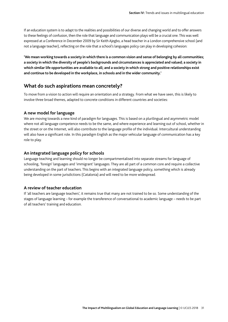If an education system is to adapt to the realities and possibilities of our diverse and changing world and to offer answers to these feelings of confusion, then the role that language and communication plays will be a crucial one. This was well expressed at a Conference in December 2009 by Sir Keith Ajegbo, a head teacher in a London comprehensive school (and not a language teacher), reflecting on the role that a school's languages policy can play in developing cohesion:

**'We mean working towards a society in which there is a common vision and sense of belonging by all communities; a society in which the diversity of people's backgrounds and circumstances is appreciated and valued; a society in which similar life opportunities are available to all; and a society in which strong and positive relationships exist and continue to be developed in the workplace, in schools and in the wider community.'** 

### **What do such aspirations mean concretely?**

To move from a vision to action will require an orientation and a strategy. From what we have seen, this is likely to involve three broad themes, adapted to concrete conditions in different countries and societies:

### **A new model for language**

We are moving towards a new kind of paradigm for languages. This is based on a plurilingual and asymmetric model where not all language competence needs to be the same, and where experience and learning out of school, whether in the street or on the Internet, will also contribute to the language profile of the individual. Intercultural understanding will also have a significant role. In this paradigm English as the major vehicular language of communication has a key role to play.

### **An integrated language policy for schools**

Language teaching and learning should no longer be compartmentalised into separate streams for language of schooling, 'foreign' languages and 'immigrant' languages. They are all part of a common core and require a collective understanding on the part of teachers. This begins with an integrated language policy, something which is already being developed in some jurisdictions (Catalonia) and will need to be more widespread.

### **A review of teacher education**

If 'all teachers are language teachers', it remains true that many are not trained to be so. Some understanding of the stages of language learning – for example the transference of conversational to academic language – needs to be part of all teachers' training and education.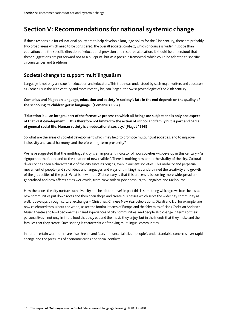# **Section V: Recommendations for national systemic change**

If those responsible for educational policy are to help develop a language policy for the 21st century, there are probably two broad areas which need to be considered: the overall societal context, which of course is wider in scope than education; and the specific direction of educational provision and resource allocation. It should be understood that these suggestions are put forward not as a blueprint, but as a possible framework which could be adapted to specific circumstances and traditions.

## **Societal change to support multilingualism**

Language is not only an issue for education and educators. This truth was understood by such major writers and educators as Comenius in the 16th century and more recently by Jean Piaget , the Swiss psychologist of the 20th century.

**Comenius and Piaget on language, education and society 'A society's fate in the end depends on the quality of the schooling its children get in language.' (Comenius 1657)** 

**'Education is … an integral part of the formative process to which all beings are subject and is only one aspect of that vast development.… It is therefore not limited to the action of school and family but is part and parcel of general social life. Human society is an educational society.' (Piaget 1993)**

So what are the areas of societal development which may help to promote multilingual societies, and to improve inclusivity and social harmony, and therefore long-term prosperity?

We have suggested that the multilingual city is an important indicator of how societies will develop in this century – 'a signpost to the future and to the creation of new realities'. There is nothing new about the vitality of the city. Cultural diversity has been a characteristic of the city since its origins, even in ancient societies. This mobility and perpetual movement of people (and so of ideas and languages and ways of thinking) has underpinned the creativity and growth of the great cities of the past. What is new in the 21st century is that this process is becoming more widespread and generalised and now affects cities worldwide, from New York to Johannesburg to Bangalore and Melbourne.

How then does the city nurture such diversity and help it to thrive? In part this is something which grows from below as new communities put down roots and then open shops and create businesses which serve the wider city community as well. It develops through cultural exchanges – Christmas, Chinese New Year celebrations, Diwali and Eid, for example, are now celebrated throughout the world, as are the football teams of Europe and the fairy tales of Hans Christian Andersen. Music, theatre and food become the shared experiences of city communities. And people also change in terms of their personal lives – not only in in the food that they eat and the music they enjoy, but in the friends that they make and the families that they create. Such sharing is characteristic of thriving multilingual communities.

In our uncertain world there are also threats and fears and uncertainties – people's understandable concerns over rapid change and the pressures of economic crises and social conflicts.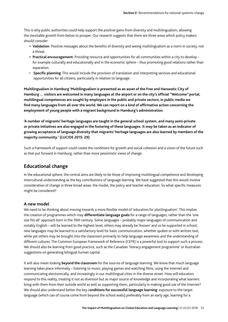This is why public authorities could help support the positive gains from diversity and multilingualism, allowing the inevitable growth from below to prosper. Our research suggests that there are three areas which policy makers should consider:

- **• Validation**: Positive messages about the benefits of diversity and seeing multilingualism as a norm in society, not a threat.
- **• Practical encouragement**: Providing resource and opportunities for all communities within a city to develop for example culturally and educationally and in the economic sphere – thus promoting good relations rather than separation.
- **Specific planning**: This would include the provision of translation and interpreting services and educational opportunities for all citizens, particularly in relation to language.

**Multilingualism in Hamburg 'Multilingualism is presented as an asset of the Free and Hanseatic City of Hamburg … visitors are welcomed in many languages at the airport or on the city's official "Welcome" portal; multilingual competences are sought by employers in the public and private sectors; in public media we find many languages from all over the world. We can report on a kind of affirmative action concerning the employment of young people with a migrant background in Hamburg's administration.** 

**'A number of migrants' heritage languages are taught in the general school system, and many semi-private or private initiatives are also engaged in the fostering of these languages. It may be taken as an indicator of growing acceptance of language diversity that migrants' heritage languages are also learned by members of the majority community.' (LUCIDE 2015: 29)** 

Such a framework of support could create the conditions for growth and social cohesion and a vision of the future such as that put forward in Hamburg, rather than more pessimistic views of change.

### **Educational change**

In the educational sphere, the central aims are likely to be those of improving multilingual competence and developing intercultural understanding as the key contributions of language learning. We have suggested that this would involve consideration of change in three broad areas: the model, the policy and teacher education. So what specific measures might be considered?

### **A new model**

We need to be thinking about moving towards a more flexible model of 'education for plurilingualism'. This implies the creation of programmes which may **differentiate language goals** for a range of languages, rather than the 'one size fits all' approach born in the 19th century. Some languages – probably major languages of communication and notably English – will be learned to the highest level; others may already be 'known' and so be supported in school; new languages may be learned to a satisfactory level for basic communication, whether spoken or with written text, while yet others may be brought into the classroom primarily to help language awareness and the understanding of different cultures. The Common European Framework of Reference (CEFR) is a powerful tool to support such a process. We should also be learning from good practice, such as the Canadian 'literacy engagement programme' or Australian suggestions on generating bilingual human capital.

It will also mean looking **beyond the classroom** for the sources of language learning. We know that much language learning takes place informally – listening to music, playing games and watching films, using the Internet and communicating electronically, and increasingly in our multilingual cities in the diverse street. How will educators respond to this reality, treating it not as diversion but as major source of knowledge and incorporating what learners bring with them from their outside world as well as supporting them, particularly in making good use of the Internet? We should also understand better the key c**onditions for successful language learning**: exposure to the target language (which can of course come from beyond the school walls) preferably from an early age; learning for a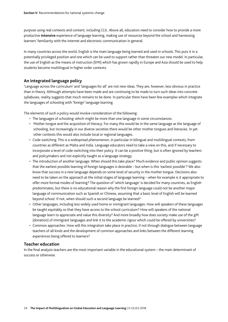purpose using real contexts and content, including CLIL. Above all, educators need to consider how to provide a more productive **intensive** experience of language learning, making use of resources beyond the school and harnessing learners' familiarity with the internet and electronic communication in general.

In many countries across the world, English is the main language being learned and used in schools. This puts it in a potentially privileged position and one which can be used to support rather than threaten our new model. In particular, the use of English as the means of instruction (EMI) which has grown rapidly in Europe and Asia should be used to help students become multilingual in higher order contexts.

### **An integrated language policy**

'Language across the curriculum' and 'languages for all' are not new ideas. They are, however, less obvious in practice than in theory. Although attempts have been made and are continuing to be made to turn such ideas into concrete syllabuses, reality suggests that much remains to be done. In particular there have been few examples which integrate the languages of schooling with 'foreign' language learning.

The elements of such a policy would involve consideration of the following:

- The languages of schooling: which might be more than one language in some circumstances.
- Mother tongue and the acquisition of literacy: For many this would be in the same language as the language of schooling, but increasingly in our diverse societies there would be other mother tongues and literacies. In yet other contexts this would also include local or regional languages.
- Code-switching: This is a widespread phenomenon, in particular in bilingual and multilingual contexts, from countries as different as Malta and India. Language educators need to take a view on this, and if necessary to incorporate a level of code-switching into their policy. It can be a positive thing, but is often ignored by teachers and policymakers and not explicitly taught as a language strategy.
- The introduction of another language: When should this take place? Much evidence and public opinion suggests that the earliest possible learning of foreign languages is desirable – but when is this 'earliest possible'? We also know that success in a new language depends on some level of security in the mother tongue. Decisions also need to be taken on the approach at the initial stages of language learning – when for example is it appropriate to offer more formal modes of learning? The question of 'which language' is decided for many countries, as English predominates, but there is no educational reason why the first foreign language could not be another major language of communication such as Spanish or Chinese, assuming that a basic level of English will be learned beyond school. If not, when should such a second language be learned?
- Other languages, including less widely used home or immigrant languages: How will speakers of these languages be taught equitably so that they have access to the school curriculum? How will speakers of the national language learn to appreciate and value this diversity? And more broadly how does society make use of the gift (donation) of immigrant languages and link it to the academic rigour which could be offered by universities?
- Common approaches: How will this integration take place in practice, if not through dialogue between language teachers of all kinds and the development of common approaches and links between the different learning experiences being offered to learners?

### **Teacher education**

In the final analysis teachers are the most important variable in the educational system – the main determinant of success or otherwise.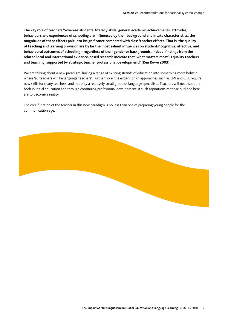**The key role of teachers 'Whereas students' literacy skills, general academic achievements, attitudes, behaviours and experiences of schooling are influenced by their background and intake characteristics, the magnitude of these effects pale into insignificance compared with class/teacher effects. That is, the quality of teaching and learning provision are by far the most salient influences on students' cognitive, affective, and behavioural outcomes of schooling – regardless of their gender or backgrounds. Indeed, findings from the related local and international evidence-based research indicate that 'what matters most' is quality teachers and teaching, supported by strategic teacher professional development!' (Ken Rowe 2003)** 

We are talking about a new paradigm, linking a range of existing strands of education into something more holistic where 'all teachers will be language teachers'. Furthermore, the expansion of approaches such as EMI and CLIL require new skills for many teachers, and not only a relatively small group of language specialists. Teachers will need support both in initial education and through continuing professional development, if such aspirations as those outlined here are to become a reality.

The core function of the teacher in this new paradigm is no less than one of preparing young people for the communication age.

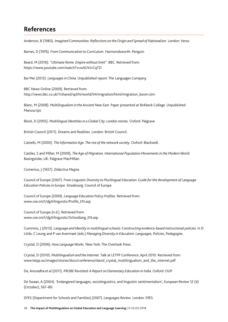# **References**

Anderson, B (1983). *Imagined Communities: Reflections on the Origin and Spread of Nationalism*. London: Verso

Barnes, D (1976). *From Communication to Curriculum*. Harmondsworth: Penguin.

Beard, M (2016). *"Ultimate Rome: Empire without limit"*. BBC. Retrieved from: https://www.youtube.com/watch?v=wXUVcrCq7ZI

Bai Mei (2012). *Languages in China*. Unpublished report: The Languages Company.

BBC News Online (2009). Retrieved from: http://news.bbc.co.uk/1/shared/spl/hi/world/04/migration/html/migration\_boom.stm

Blanc, M (2008). *Multilingualism in the Ancient Near East*. Paper presented at Birkbeck College. Unpublished Manuscript.

Block, D (2005). *Multilingual Identities in a Global City: London stories.* Oxford: Palgrave.

British Council (2011). Dreams and Realities. London: British Council.

Castells, M (2000). *The Information Age. The rise of the network society.* Oxford: Blackwell.

Castles, S and Miller, M (2009), *The Age of Migration. International Population Movements in the Modern World.*  Basingstoke, UK: Palgrave MacMillan

Comenius, J (1657). *Didactica Magna.*

Council of Europe (2007). *From Linguistic Diversity to Plurilingual Education: Guide for the development of Language Education Policies in Europe.* Strasbourg: Council of Europe.

Council of Europe (2009). *Language Education Policy Profiles.* Retrieved from: www.coe.int/t/dg4/linguistic/Profils\_EN.asp

Council of Europe (n.d.). Retrieved from: www.coe.int/t/dg4/linguistic/Schoollang\_EN.asp

Cummins,  $\vert$  (2013). *Language and Identity in multilingual schools: Constructing evidence-based instructional policies.* in D Little, C Leung and P van Avermaet (eds.) *Managing Diversity in Education: Languages, Policies, Pedagogies*.

Crystal, D (2006). *How Language Works.* New York: The Overlook Press.

Crystal, D (2010). *Multilingualism and the Internet.* Talk at LETPP Conference, April 2010. Retrieved from: www.letpp.eu/images/stories/docs/conference/david\_crystal\_multilingualism\_and\_the\_internet.pdf

De, Anuradha *et al* (2011). P*ROBE Revisited: A Report on Elementary Education in India*. Oxford: OUP.

De Swaan, A (2004). 'Endangered languages, sociolinguistics, and linguistic sentimentalism', *European Review* 12 (4) (October), 567–80.

DFES (Department for Schools and Families) (2007). *Languages Review*. London: DfES.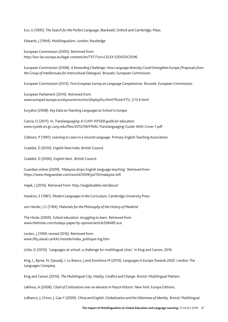Eco, U (1995). T*he Search for the Perfect Language*, Blackwell, Oxford and Cambridge, Mass.

Edwards, J (1994). *Multilingualism*, London: Routledge.

European Commission (2005). Retrieved from: http://eur-lex.europa.eu/legal-content/en/TXT/?uri=CELEX:52005DC0596

European Commission (2008). *A Rewarding Challenge: How Language diversity Could Strengthen Europe (Proposals from the Group of Intellectuals for Intercultural Dialogue).* Brussels: European Commission.

European Commission (2012). *First European Survey on Language Competences.* Brussels: European Commission.

European Parliament (2016). Retrieved from: www.europarl.europa.eu/atyourservice/en/displayFtu.html?ftuId=FTU\_5.13.6.html

Eurydice (2008). *Key Data on Teaching Languages at School in Europe.*

Garcia, O (2011). In: *Translanguaging: A CUNY-NYSIEB guide for educators.* www.nysieb.ws.gc.cuny.edu/files/2012/06/FINAL-Translanguaging-Guide-With-Cover-1.pdf

Gibbons, P (1991). *Learning to Learn in a Second Language.* Primary English Teaching Association.

Graddol, D (2010). *English Next India*, British Council.

Graddol, D (2006). *English Next ,* British Council.

Guardian online (2009). 'Malaysia drops English language teaching'. Retrieved from https://www.theguardian.com/world/2009/jul/10/malaysia-tefl

Hajek, J (2016). Retrieved from: http://anglobubble.net/about/

Hawkins, E (1981). *Modern Languages in the Curriculum,* Cambridge University Press

von Herder, J G (1784). *Materials for the Philosophy of the History of Mankind*

The Hindu (2009). *School education: struggling to learn.* Retrieved from www.thehindu.com/todays-paper/tp-opinion/article358485.ece

Leclerc, J (1999, revised 2016). Retrieved from: www.tlfq.ulaval.ca/AXL/monde/index\_politique-lng.htm

Little, D (2010). 'Languages at school: a challenge for multilingual cities'. In King and Carson, 2016.

King, L, Byrne, N, Djouadj, I, Lo Bianco, J and,Stoicheva M (2010). *Languages in Europe Towards 2020*. London: The Languages Company.

King and Carson (2016). *The Multilingual City, Vitality, Conflict and Change*. Bristol: Multilingual Matters.

Lakhous, A (2008). *Clash of Civilisations over an elevator in Piazza Vittorio*. New York: Europa Editions.

LoBianco, J, Orton, J, Gao Y (2009). *China and English: Globalisation and the Dilemmas of Identity.* Bristol: Multilingual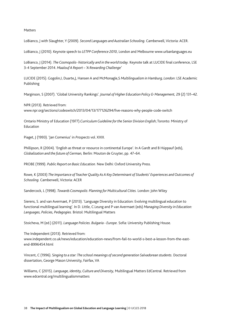#### Matters

LoBianco, J with Slaughter, Y (2009). *Second Languages and Australian Schooling.* Camberwell, Victoria: ACER.

LoBianco, J (2010). Keynote speech to *LETPP Conference 2010*, London and Melbourne www.urbanlanguages.eu

LoBianco, J (2014). *The Cosmopolis- historically and in the world today*. Keynote talk at LUCIDE final conference, LSE 3-4 September 2014. *Maalouf A Report – 'A Rewarding Challenge'*

LUCIDE (2015). Gogolin,I, Duarte,J, Hansen A and McMonagle,S *Multilingualism in Hamburg, London*: LSE Academic Publishing

Marginson, S (2007). 'Global University Rankings'*. Journal of Higher Education Policy & Management,* 29 (2) 131–42.

NPR (2013). Retrieved from: www.npr.org/sections/codeswitch/2013/04/13/177126294/five-reasons-why-people-code-switch

Ontario Ministry of Education (1977).*Curriculum Guideline for the Senior Division English*; Toronto: Ministry of Education

Piaget, J (1993). 'Jan Comenius' in *Prospects* vol. XXIII.

Phillipson, R (2004). 'English as threat or resource in continental Europe'. In A Gardt and B Hüppauf (eds), *Globalization and the future of German,* Berlin: Mouton de Gruyter, pp. 47–64.

PROBE (1999). *Public Report on Basic Education.* New Delhi: Oxford University Press.

Rowe, K (2003) *The Importance of Teacher Quality As A Key Determinant of Students' Experiences and Outcomes of Schooling.* Camberwell, Victoria: ACER

Sandercock, L (1998). *Towards Cosmopolis: Planning for Multicultural Cities.* London: John Wiley

Sierens, S. and van Avermaet, P (2013). 'Language Diversity in Education: Evolving multilingual education to functional multilingual learning'. In D. Little, C.Leung and P van Avermaet (eds) *Managing Diversity in Education: Languages, Policies, Pedagogies.* Bristol: Multilingual Matters

Stoicheva, M (ed.) (2011). *Language Policies. Bulgaria - Europe*. Sofia: University Publishing House.

The Independent (2013). Retrieved from: www.independent.co.uk/news/education/education-news/from-fail-to-world-s-best-a-lesson-from-the-eastend-8996454.html

Vincent, C (1996). S*inging to a star: The school meanings of second generation Salvadorean students.* Doctoral dissertation, George Mason University, Fairfax, VA

Williams, C (2015). *Language, identity, Culture and Diversity,* Multilingual Matters EdCentral. Retrieved from www.edcentral.org/multilingualismmatters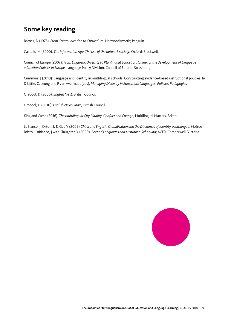# **Some key reading**

Barnes, D (1976). *From Communication to Curriculum.* Harmondsworth; Penguin.

Castells, M (2000). *The information Age. The rise of the network society,* Oxford: Blackwell.

Council of Europe (2007). *From Linguistic Diversity to Plurilingual Education: Guide for the development of Language education Policies in Europe,* Language Policy Division, Council of Europe, Strasbourg.

Cummins, J (2013). Language and Identity in multilingual schools: Constructing evidence-based instructional policies. In D Little, C, Leung and P van Avermaet (eds), *Managing Diversity in Education: Languages, Policies, Pedagogies* 

Graddol, D (2006). *English Next,* British Council.

Graddol, D (2010). *English Next - India,* British Council.

King and Carso (2016). *The Multilingual City, Vitality, Conflict and Change*, Multilingual Matters, Bristol.

LoBianco, J, Orton, J, & Gao Y (2009) *China and English: Globalisation and the Dilemmas of Identity, Multilingual Matters,*  Bristol. LoBianco, J with Slaughter, Y (2009). *Second Languages and Australian Schooling*; ACER, Camberwell, Victoria.